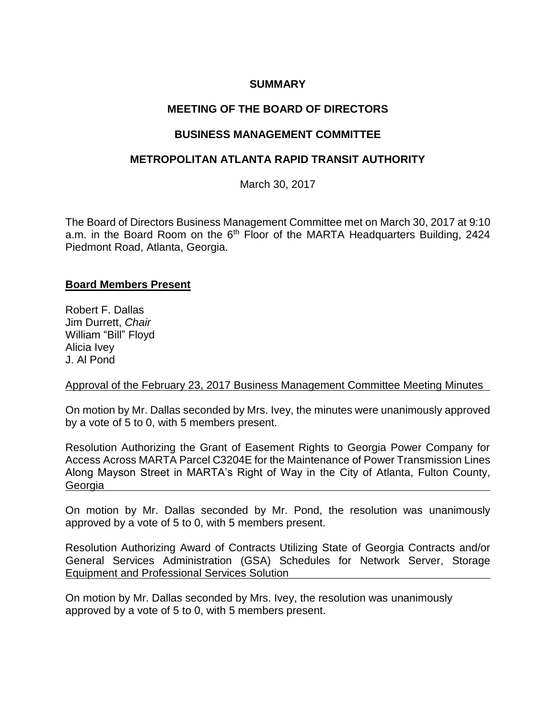## **SUMMARY**

# **MEETING OF THE BOARD OF DIRECTORS**

## **BUSINESS MANAGEMENT COMMITTEE**

## **METROPOLITAN ATLANTA RAPID TRANSIT AUTHORITY**

March 30, 2017

The Board of Directors Business Management Committee met on March 30, 2017 at 9:10 a.m. in the Board Room on the 6<sup>th</sup> Floor of the MARTA Headquarters Building, 2424 Piedmont Road, Atlanta, Georgia.

## **Board Members Present**

Robert F. Dallas Jim Durrett, *Chair*  William "Bill" Floyd Alicia Ivey J. Al Pond

### Approval of the February 23, 2017 Business Management Committee Meeting Minutes

On motion by Mr. Dallas seconded by Mrs. Ivey, the minutes were unanimously approved by a vote of 5 to 0, with 5 members present.

Resolution Authorizing the Grant of Easement Rights to Georgia Power Company for Access Across MARTA Parcel C3204E for the Maintenance of Power Transmission Lines Along Mayson Street in MARTA's Right of Way in the City of Atlanta, Fulton County, Georgia

On motion by Mr. Dallas seconded by Mr. Pond, the resolution was unanimously approved by a vote of 5 to 0, with 5 members present.

Resolution Authorizing Award of Contracts Utilizing State of Georgia Contracts and/or General Services Administration (GSA) Schedules for Network Server, Storage Equipment and Professional Services Solution

On motion by Mr. Dallas seconded by Mrs. Ivey, the resolution was unanimously approved by a vote of 5 to 0, with 5 members present.